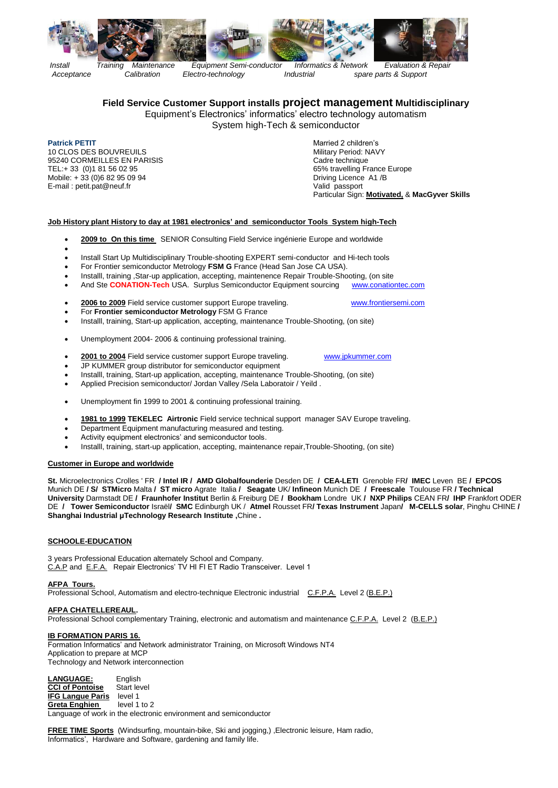



*Install Training Maintenance Equipment Semi-conductor Informatics & Network Evaluation & Repair Acceptance Calibration Electro-technology Industrial spare parts & Support*

# **Field Service Customer Support installs project management Multidisciplinary**

Equipment's Electronics' informatics' electro technology automatism System high-Tech & semiconductor

**Patrick PETIT Patrick PETIT Married 2 children's** 10 CLOS DES BOUVREUILS<br>10 CLOS DES BOUVREUILS<br>95240 CORMEILLES EN PARISIS 95240 CORMEILLES EN PARISIS<br>TEL:+ 33 (0)1 81 56 02 95 Mobile: + 33 (0)6 82 95 09 94 **Driving Licence A1 /B** E-mail : petit.pat@neuf.fr valid passport valid passport

65% travelling France Europe Particular Sign: **Motivated,** & **MacGyver Skills**

## **Job History plant History to day at 1981 electronics' and semiconductor Tools System high-Tech**

- **2009 to On this time** SENIOR Consulting Field Service ingénierie Europe and worldwide
- $\bullet$
- Install Start Up Multidisciplinary Trouble-shooting EXPERT semi-conductor and Hi-tech tools
- For Frontier semiconductor Metrology **FSM G** France (Head San Jose CA USA).
- Installl, training ,Star-up application, accepting, maintenence Repair Trouble-Shooting, (on site
- And Ste **CONATION-Tech** USA. Surplus Semiconductor Equipment sourcing [www.conationtec.com](http://www.conationtec.com/)

#### **2006 to 2009** Field service customer support Europe traveling. [www.frontiersemi.com](http://www.frontiersemi.com/)

- For **Frontier semiconductor Metrology** FSM G France
- Installl, training, Start-up application, accepting, maintenance Trouble-Shooting, (on site)
- Unemployment 2004- 2006 & continuing professional training.
- **2001 to 2004** Field service customer support Europe traveling. [www.jpkummer.com](http://www.jpkummer.com/)
- JP KUMMER group distributor for semiconductor equipment
- Installl, training, Start-up application, accepting, maintenance Trouble-Shooting, (on site)
- Applied Precision semiconductor/ Jordan Valley /Sela Laboratoir / Yeild .
- Unemployment fin 1999 to 2001 & continuing professional training.
- **1981 to 1999 TEKELEC Airtronic** Field service technical support manager SAV Europe traveling.
- Department Equipment manufacturing measured and testing.
- Activity equipment electronics' and semiconductor tools.
- Installl, training, start-up application, accepting, maintenance repair,Trouble-Shooting, (on site)

#### **Customer in Europe and worldwide**

**St.** Microelectronics Crolles ' FR **/ Intel IR / AMD Globalfounderie** Desden DE **/ CEA-LETI** Grenoble FR**/ IMEC** Leven BE **/ EPCOS**  Munich DE **/ S/ STMicro** Malta **/ ST micro** Agrate Italia **/ Seagate** UK/ **Infineon** Munich DE **/ Freescale** Toulouse FR **/ Technical University** Darmstadt DE **/ Fraunhofer Institut** Berlin & Freiburg DE **/ Bookham** Londre UK **/ NXP Philips** CEAN FR**/ IHP** Frankfort ODER DE **/ Tower Semiconductor** Israël**/ SMC** Edinburgh UK / **Atmel** Rousset FR**/ Texas Instrument** Japan**/ M-CELLS solar**, Pinghu CHINE **/ Shanghai Industrial μTechnology Research Institute ,**Chine **.**

## **SCHOOLE-EDUCATION**

3 years Professional Education alternately School and Company. C.A.P and E.F.A. Repair Electronics' TV HI FI ET Radio Transceiver. Level 1

## **AFPA Tours.**

Professional School, Automatism and electro-technique Electronic industrial C.F.P.A. Level 2 (B.E.P.)

#### **AFPA CHATELLEREAUL.**

Professional School complementary Training, electronic and automatism and maintenance C.F.P.A. Level 2 (B.E.P.)

## **IB FORMATION PARIS 16.**

Formation Informatics' and Network administrator Training, on Microsoft Windows NT4 Application to prepare at MCP Technology and Network interconnection

**LANGUAGE:** English **CCI of Pontoise** Start level **IFG Langue Paris** level 1<br>**Greta Enghien** level 1 to 2 **Greta Enghien** Language of work in the electronic environment and semiconductor

**FREE TIME Sports** (Windsurfing, mountain-bike, Ski and jogging,) ,Electronic leisure, Ham radio, Informatics', Hardware and Software, gardening and family life.

- 
- 
-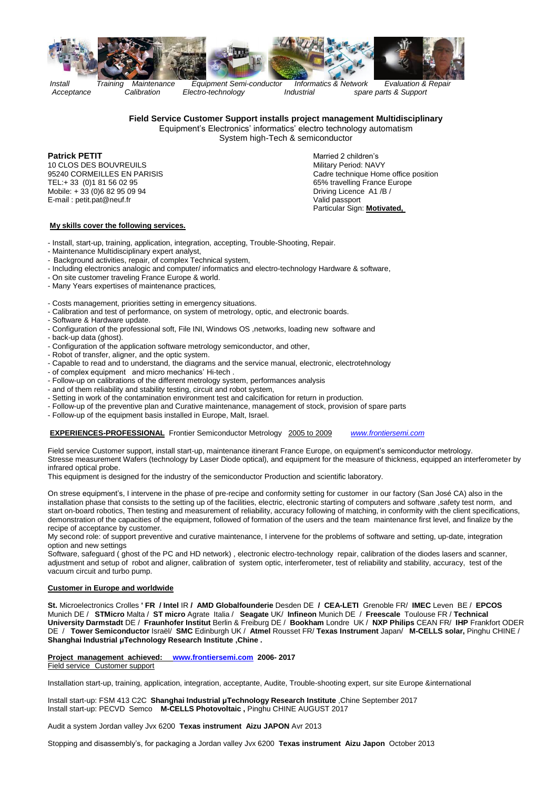

*Install Training Maintenance Equipment Semi-conductor Informatics & Network Evaluation & Repair*

 *Acceptance Calibration Electro-technology Industrial spare parts & Support*

## **Field Service Customer Support installs project management Multidisciplinary**

Equipment's Electronics' informatics' electro technology automatism

System high-Tech & semiconductor

**Patrick PETIT** Married 2 children's 10 CLOS DES BOUVREUILS<br>95240 CORMEILLES EN PARISIS TEL:+ 33 (0)1 81 56 02 95 65% travelling France Europe<br>
Mobile: + 33 (0)6 82 95 09 94 65% travelling France Europe<br>
Driving Licence A1 /B / Mobile: + 33 (0)6 82 95 09 94 Driving Licence A1 /B / E-mail : petit.pat@neuf.fr

Cadre technique Home office position Particular Sign: **Motivated,**

## **My skills cover the following services.**

- Install, start-up, training, application, integration, accepting, Trouble-Shooting, Repair.
- Maintenance Multidisciplinary expert analyst,
- Background activities, repair, of complex Technical system,
- Including electronics analogic and computer/ informatics and electro-technology Hardware & software,
- On site customer traveling France Europe & world.
- Many Years expertises of maintenance practices*,*
- Costs management, priorities setting in emergency situations.
- Calibration and test of performance, on system of metrology, optic, and electronic boards.
- Software & Hardware update.
- Configuration of the professional soft, File INI, Windows OS ,networks, loading new software and
- back-up data (ghost).
- Configuration of the application software metrology semiconductor, and other,
- Robot of transfer, aligner, and the optic system.
- Capable to read and to understand, the diagrams and the service manual, electronic, electrotehnology
- of complex equipment and micro mechanics' Hi-tech .
- Follow-up on calibrations of the different metrology system, performances analysis
- and of them reliability and stability testing, circuit and robot system,
- Setting in work of the contamination environment test and calcification for return in production.
- Follow-up of the preventive plan and Curative maintenance, management of stock, provision of spare parts
- Follow-up of the equipment basis installed in Europe, Malt, Israel.

#### **EXPERIENCES-PROFESSIONAL** Frontier Semiconductor Metrology 2005 to 2009 *[www.frontiersemi.com](file:///C:/Documents%20and%20Settings/ACER%20-2/Local%20Settings/Temporary%20Internet%20Files/Content.IE5/N7A9S5XA/www.frontiersemi.com)*

Field service Customer support, install start-up, maintenance itinerant France Europe, on equipment's semiconductor metrology. Stresse measurement Wafers (technology by Laser Diode optical), and equipment for the measure of thickness, equipped an interferometer by infrared optical probe.

This equipment is designed for the industry of the semiconductor Production and scientific laboratory.

On strese equipment's, I intervene in the phase of pre-recipe and conformity setting for customer in our factory (San José CA) also in the installation phase that consists to the setting up of the facilities, electric, electronic starting of computers and software ,safety test norm, and start on-board robotics, Then testing and measurement of reliability, accuracy following of matching, in conformity with the client specifications, demonstration of the capacities of the equipment, followed of formation of the users and the team maintenance first level, and finalize by the recipe of acceptance by customer.

My second role: of support preventive and curative maintenance, I intervene for the problems of software and setting, up-date, integration option and new settings

Software, safeguard (ghost of the PC and HD network), electronic electro-technology repair, calibration of the diodes lasers and scanner, adjustment and setup of robot and aligner, calibration of system optic, interferometer, test of reliability and stability, accuracy, test of the vacuum circuit and turbo pump.

#### **Customer in Europe and worldwide**

**St.** Microelectronics Crolles **' FR / Intel** IR **/ AMD Globalfounderie** Desden DE **/ CEA-LETI** Grenoble FR/ **IMEC** Leven BE / **EPCOS**  Munich DE / **STMicro** Malta / **ST micro** Agrate Italia / **Seagate** UK/ **Infineon** Munich DE / **Freescale** Toulouse FR / **Technical University Darmstadt** DE / **Fraunhofer Institut** Berlin & Freiburg DE / **Bookham** Londre UK / **NXP Philips** CEAN FR/ **IHP** Frankfort ODER DE / **Tower Semiconductor** Israël/ **SMC** Edinburgh UK / **Atmel** Rousset FR/ **Texas Instrument** Japan/ **M-CELLS solar,** Pinghu CHINE / **Shanghai Industrial μTechnology Research Institute ,Chine .**

**Project management achieved: [www.frontiersemi.com](file:///C:/Users/patrick/AppData/Local/Microsoft/Windows/INetCache/Content.Outlook/1GG4XEAI/www.frontiersemi.com) 2006- 2017**

#### Field service Customer support

Installation start-up, training, application, integration, acceptante, Audite, Trouble-shooting expert, sur site Europe &international

Install start-up: FSM 413 C2C **Shanghai Industrial μTechnology Research Institute** ,Chine September 2017 Install start-up: PECVD Semco **M-CELLS Photovoltaic ,** Pinghu CHINE AUGUST 2017

Audit a system Jordan valley Jvx 6200 **Texas instrument Aizu JAPON** Avr 2013

Stopping and disassembly's, for packaging a Jordan valley Jvx 6200 **Texas instrument Aizu Japon** October 2013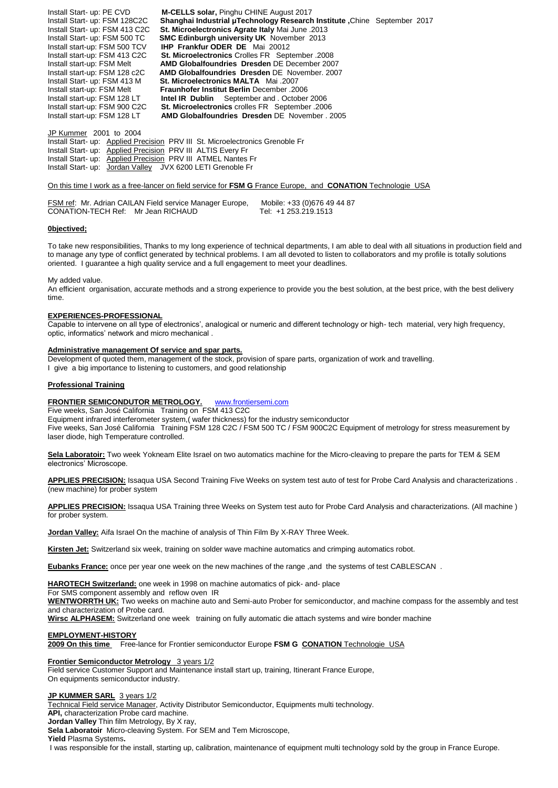Install Start- up: PE CVD **M-CELLS solar,** Pinghu CHINE August 2017 Install Start- up: FSM 128C2C **Shanghai Industrial μTechnology Research Institute ,**Chine September 2017 Install Start- up: FSM 413 C2C **St. Microelectronics Agrate Italy** Mai June .2013 Install Start- up: FSM 500 TC **SMC Edinburgh university UK** November 2013 Install start-up: FSM 500 TCV **IHP Frankfur ODER DE** Mai 20012 Install start-up: FSM 413 C2C **St. Microelectronics** Crolles FR September .2008 Install start-up: FSM Melt **AMD Globalfoundries Dresden** DE December 2007 **AMD Globalfoundries Dresden** DE November. 2007 Install Start- up: FSM 413 M **St. Microelectronics MALTA** Mai .2007 Install start-up: FSM Melt **Fraunhofer Institut Berlin** December .2006 Install start-up: FSM 128 LT **Intel IR Dublin** September and . October 2006 **St. Microelectronics** crolles FR September .2006 Install start-up: FSM 128 LT **AMD Globalfoundries Dresden** DE November . 2005

JP Kummer 2001 to 2004

Install Start- up: Applied Precision PRV III St. Microelectronics Grenoble Fr Install Start- up: Applied Precision PRV III ALTIS Every Fr Install Start- up: Applied Precision PRV III ATMEL Nantes Fr Install Start- up: Jordan Valley JVX 6200 LETI Grenoble Fr

#### On this time I work as a free-lancer on field service for **FSM G** France Europe, and **CONATION** Technologie USA

|                                    | FSM ref: Mr. Adrian CAILAN Field service Manager Europe, | Mobile: +33 (0)676 49 44 87 |
|------------------------------------|----------------------------------------------------------|-----------------------------|
| CONATION-TECH Ref: Mr Jean RICHAUD |                                                          | Tel: +1 253.219.1513        |

## **0bjectived;**

To take new responsibilities, Thanks to my long experience of technical departments, I am able to deal with all situations in production field and to manage any type of conflict generated by technical problems. I am all devoted to listen to collaborators and my profile is totally solutions oriented. I guarantee a high quality service and a full engagement to meet your deadlines.

My added value.

An efficient organisation, accurate methods and a strong experience to provide you the best solution, at the best price, with the best delivery time.

#### **EXPERIENCES-PROFESSIONAL**

Capable to intervene on all type of electronics', analogical or numeric and different technology or high- tech material, very high frequency, optic, informatics' network and micro mechanical .

#### **Administrative management Of service and spar parts.**

Development of quoted them, management of the stock, provision of spare parts, organization of work and travelling.

I give a big importance to listening to customers, and good relationship

#### **Professional Training**

#### **FRONTIER SEMICONDUTOR METROLOGY.** [www.frontiersemi.com](http://www.frontiersemi.com/)

Five weeks, San José California Training on FSM 413 C2C Equipment infrared interferometer system,( wafer thickness) for the industry semiconductor Five weeks, San José California Training FSM 128 C2C / FSM 500 TC / FSM 900C2C Equipment of metrology for stress measurement by laser diode, high Temperature controlled.

**Sela Laboratoir:** Two week Yokneam Elite Israel on two automatics machine for the Micro-cleaving to prepare the parts for TEM & SEM electronics' Microscope.

**APPLIES PRECISION:** Issaqua USA Second Training Five Weeks on system test auto of test for Probe Card Analysis and characterizations . (new machine) for prober system

**APPLIES PRECISION:** Issaqua USA Training three Weeks on System test auto for Probe Card Analysis and characterizations. (All machine ) for prober system.

**Jordan Valley:** Aifa Israel On the machine of analysis of Thin Film By X-RAY Three Week.

**Kirsten Jet:** Switzerland six week, training on solder wave machine automatics and crimping automatics robot.

**Eubanks France:** once per year one week on the new machines of the range ,and the systems of test CABLESCAN .

**HAROTECH Switzerland:** one week in 1998 on machine automatics of pick- and- place

For SMS component assembly and reflow oven IR

**WENTWORRTH UK:** Two weeks on machine auto and Semi-auto Prober for semiconductor, and machine compass for the assembly and test and characterization of Probe card.

**Wirsc ALPHASEM:** Switzerland one week training on fully automatic die attach systems and wire bonder machine

#### **EMPLOYMENT-HISTORY**

**2009 On this time** Free-lance for Frontier semiconductor Europe **FSM G CONATION** Technologie USA

#### **Frontier Semiconductor Metrology** 3 years 1/2

Field service Customer Support and Maintenance install start up, training, Itinerant France Europe, On equipments semiconductor industry.

#### **JP KUMMER SARL** 3 years 1/2

Technical Field service Manager, Activity Distributor Semiconductor, Equipments multi technology.

**API,** characterization Probe card machine.

**Jordan Valley** Thin film Metrology, By X ray,

**Sela Laboratoir** Micro-cleaving System. For SEM and Tem Microscope,

**Yield** Plasma Systems**.**

I was responsible for the install, starting up, calibration, maintenance of equipment multi technology sold by the group in France Europe.